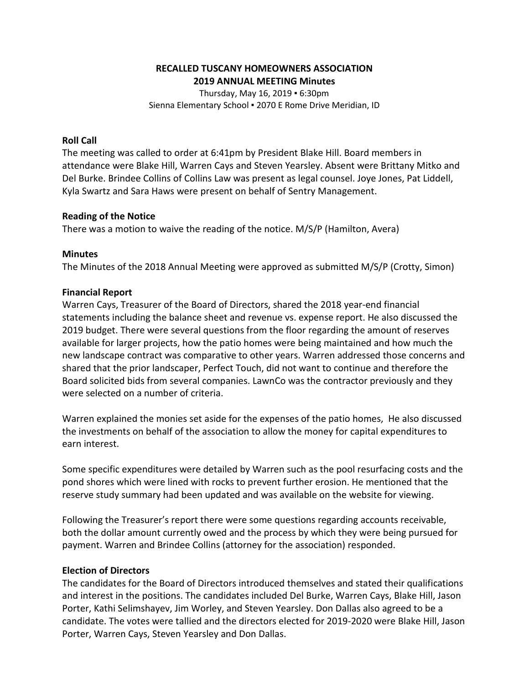### **RECALLED TUSCANY HOMEOWNERS ASSOCIATION 2019 ANNUAL MEETING Minutes**

Thursday, May 16, 2019 ▪ 6:30pm Sienna Elementary School ▪ 2070 E Rome Drive Meridian, ID

#### **Roll Call**

The meeting was called to order at 6:41pm by President Blake Hill. Board members in attendance were Blake Hill, Warren Cays and Steven Yearsley. Absent were Brittany Mitko and Del Burke. Brindee Collins of Collins Law was present as legal counsel. Joye Jones, Pat Liddell, Kyla Swartz and Sara Haws were present on behalf of Sentry Management.

#### **Reading of the Notice**

There was a motion to waive the reading of the notice. M/S/P (Hamilton, Avera)

#### **Minutes**

The Minutes of the 2018 Annual Meeting were approved as submitted M/S/P (Crotty, Simon)

#### **Financial Report**

Warren Cays, Treasurer of the Board of Directors, shared the 2018 year-end financial statements including the balance sheet and revenue vs. expense report. He also discussed the 2019 budget. There were several questions from the floor regarding the amount of reserves available for larger projects, how the patio homes were being maintained and how much the new landscape contract was comparative to other years. Warren addressed those concerns and shared that the prior landscaper, Perfect Touch, did not want to continue and therefore the Board solicited bids from several companies. LawnCo was the contractor previously and they were selected on a number of criteria.

Warren explained the monies set aside for the expenses of the patio homes, He also discussed the investments on behalf of the association to allow the money for capital expenditures to earn interest.

Some specific expenditures were detailed by Warren such as the pool resurfacing costs and the pond shores which were lined with rocks to prevent further erosion. He mentioned that the reserve study summary had been updated and was available on the website for viewing.

Following the Treasurer's report there were some questions regarding accounts receivable, both the dollar amount currently owed and the process by which they were being pursued for payment. Warren and Brindee Collins (attorney for the association) responded.

#### **Election of Directors**

The candidates for the Board of Directors introduced themselves and stated their qualifications and interest in the positions. The candidates included Del Burke, Warren Cays, Blake Hill, Jason Porter, Kathi Selimshayev, Jim Worley, and Steven Yearsley. Don Dallas also agreed to be a candidate. The votes were tallied and the directors elected for 2019-2020 were Blake Hill, Jason Porter, Warren Cays, Steven Yearsley and Don Dallas.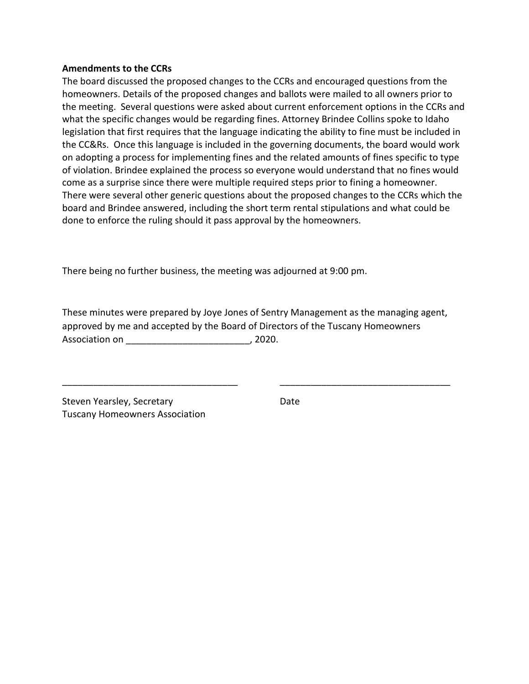#### **Amendments to the CCRs**

The board discussed the proposed changes to the CCRs and encouraged questions from the homeowners. Details of the proposed changes and ballots were mailed to all owners prior to the meeting. Several questions were asked about current enforcement options in the CCRs and what the specific changes would be regarding fines. Attorney Brindee Collins spoke to Idaho legislation that first requires that the language indicating the ability to fine must be included in the CC&Rs. Once this language is included in the governing documents, the board would work on adopting a process for implementing fines and the related amounts of fines specific to type of violation. Brindee explained the process so everyone would understand that no fines would come as a surprise since there were multiple required steps prior to fining a homeowner. There were several other generic questions about the proposed changes to the CCRs which the board and Brindee answered, including the short term rental stipulations and what could be done to enforce the ruling should it pass approval by the homeowners.

There being no further business, the meeting was adjourned at 9:00 pm.

These minutes were prepared by Joye Jones of Sentry Management as the managing agent, approved by me and accepted by the Board of Directors of the Tuscany Homeowners Association on  $\overline{\phantom{a}}$ , 2020.

\_\_\_\_\_\_\_\_\_\_\_\_\_\_\_\_\_\_\_\_\_\_\_\_\_\_\_\_\_\_\_\_\_\_ \_\_\_\_\_\_\_\_\_\_\_\_\_\_\_\_\_\_\_\_\_\_\_\_\_\_\_\_\_\_\_\_\_

Steven Yearsley, Secretary **Date** Date Tuscany Homeowners Association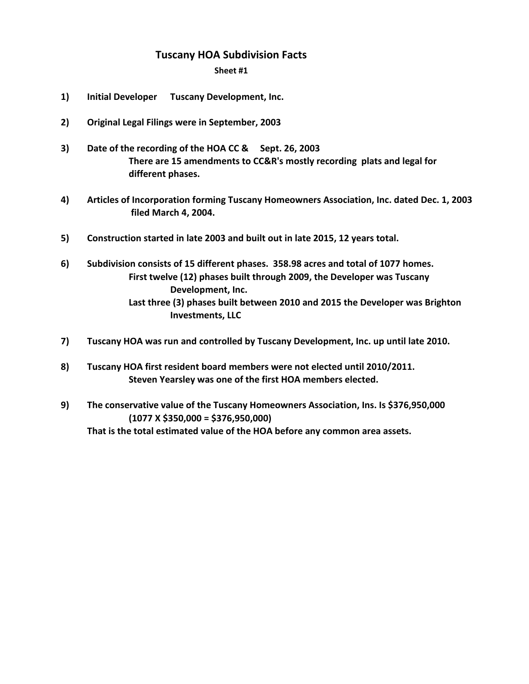# **Tuscany HOA Subdivision Facts**

**Sheet #1**

- **1) Initial Developer Tuscany Development, Inc.**
- **2) Original Legal Filings were in September, 2003**
- **3)** Date of the recording of the HOA CC & Sept. 26, 2003 **There are 15 amendments to CC&R's mostly recording plats and legal for different phases.**
- **4) Articles of Incorporation forming Tuscany Homeowners Association, Inc. dated Dec. 1, 2003 filed March 4, 2004.**
- **5) Construction started in late 2003 and built out in late 2015, 12 years total.**
- **6) Subdivision consists of 15 different phases. 358.98 acres and total of 1077 homes. First twelve (12) phases built through 2009, the Developer was Tuscany Development, Inc. Last three (3) phases built between 2010 and 2015 the Developer was Brighton Investments, LLC**
- **7) Tuscany HOA was run and controlled by Tuscany Development, Inc. up until late 2010.**
- **8) Tuscany HOA first resident board members were not elected until 2010/2011. Steven Yearsley was one of the first HOA members elected.**
- **9) The conservative value of the Tuscany Homeowners Association, Ins. Is \$376,950,000 (1077 X \$350,000 = \$376,950,000) That is the total estimated value of the HOA before any common area assets.**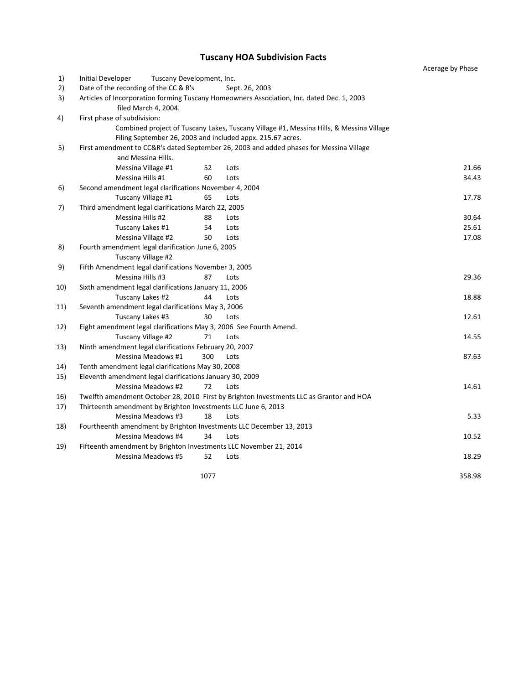## **Tuscany HOA Subdivision Facts**

|     |                                                                                                                   |                                                                                         | Acerage by Phase |
|-----|-------------------------------------------------------------------------------------------------------------------|-----------------------------------------------------------------------------------------|------------------|
| 1)  | <b>Initial Developer</b><br>Tuscany Development, Inc.                                                             |                                                                                         |                  |
| 2)  | Date of the recording of the CC & R's                                                                             | Sept. 26, 2003                                                                          |                  |
| 3)  | Articles of Incorporation forming Tuscany Homeowners Association, Inc. dated Dec. 1, 2003<br>filed March 4, 2004. |                                                                                         |                  |
| 4)  | First phase of subdivision:                                                                                       |                                                                                         |                  |
|     |                                                                                                                   | Combined project of Tuscany Lakes, Tuscany Village #1, Messina Hills, & Messina Village |                  |
|     | Filing September 26, 2003 and included appx. 215.67 acres.                                                        |                                                                                         |                  |
| 5)  | First amendment to CC&R's dated September 26, 2003 and added phases for Messina Village                           |                                                                                         |                  |
|     | and Messina Hills.                                                                                                |                                                                                         |                  |
|     | Messina Village #1<br>52                                                                                          | Lots                                                                                    | 21.66            |
|     | Messina Hills #1<br>60                                                                                            | Lots                                                                                    | 34.43            |
| 6)  | Second amendment legal clarifications November 4, 2004                                                            |                                                                                         |                  |
|     | Tuscany Village #1<br>65                                                                                          | Lots                                                                                    | 17.78            |
| 7)  | Third amendment legal clarifications March 22, 2005                                                               |                                                                                         |                  |
|     | Messina Hills #2<br>88                                                                                            | Lots                                                                                    | 30.64            |
|     | 54<br>Tuscany Lakes #1                                                                                            | Lots                                                                                    | 25.61            |
|     | Messina Village #2<br>50                                                                                          | Lots                                                                                    | 17.08            |
| 8)  | Fourth amendment legal clarification June 6, 2005                                                                 |                                                                                         |                  |
|     | Tuscany Village #2                                                                                                |                                                                                         |                  |
| 9)  | Fifth Amendment legal clarifications November 3, 2005                                                             |                                                                                         |                  |
|     | Messina Hills #3<br>87                                                                                            | Lots                                                                                    | 29.36            |
| 10) | Sixth amendment legal clarifications January 11, 2006                                                             |                                                                                         |                  |
|     | Tuscany Lakes #2<br>44                                                                                            | Lots                                                                                    | 18.88            |
| 11) | Seventh amendment legal clarifications May 3, 2006                                                                |                                                                                         |                  |
|     | 30<br>Tuscany Lakes #3                                                                                            | Lots                                                                                    | 12.61            |
| 12) | Eight amendment legal clarifications May 3, 2006 See Fourth Amend.                                                |                                                                                         |                  |
|     | Tuscany Village #2<br>71                                                                                          | Lots                                                                                    | 14.55            |
| 13) | Ninth amendment legal clarifications February 20, 2007                                                            |                                                                                         |                  |
|     | Messina Meadows #1<br>300                                                                                         | Lots                                                                                    | 87.63            |
| 14) | Tenth amendment legal clarifications May 30, 2008                                                                 |                                                                                         |                  |
| 15) | Eleventh amendment legal clarifications January 30, 2009                                                          |                                                                                         |                  |
|     | <b>Messina Meadows #2</b><br>72                                                                                   | Lots                                                                                    | 14.61            |
| 16) | Twelfth amendment October 28, 2010 First by Brighton Investments LLC as Grantor and HOA                           |                                                                                         |                  |
| 17) | Thirteenth amendment by Brighton Investments LLC June 6, 2013                                                     |                                                                                         |                  |
|     | Messina Meadows #3<br>18                                                                                          | Lots                                                                                    | 5.33             |
| 18) | Fourtheenth amendment by Brighton Investments LLC December 13, 2013                                               |                                                                                         |                  |
|     | Messina Meadows #4<br>34                                                                                          | Lots                                                                                    | 10.52            |
| 19) | Fifteenth amendment by Brighton Investments LLC November 21, 2014                                                 |                                                                                         |                  |
|     | <b>Messina Meadows #5</b><br>52                                                                                   | Lots                                                                                    | 18.29            |
|     | 1077                                                                                                              |                                                                                         | 358.98           |